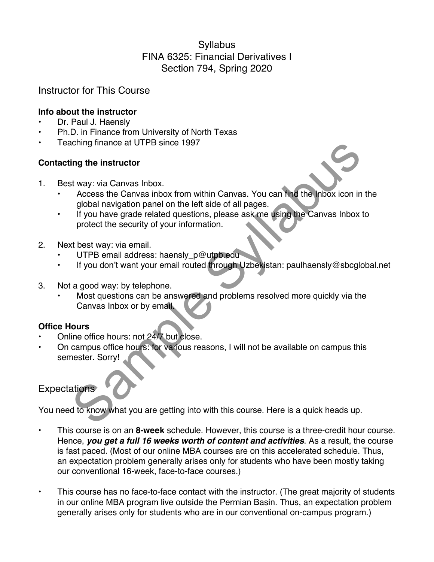# **Syllabus** FINA 6325: Financial Derivatives I Section 794, Spring 2020

# Instructor for This Course

### **Info about the instructor**

- Dr. Paul J. Haensly
- Ph.D. in Finance from University of North Texas
- Teaching finance at UTPB since 1997

### **Contacting the instructor**

- 1. Best way: via Canvas Inbox.
	- Access the Canvas inbox from within Canvas. You can find the Inbox icon in the global navigation panel on the left side of all pages.
	- If you have grade related questions, please ask me using the Canvas Inbox to protect the security of your information.
- 2. Next best way: via email.
	- UTPB email address: haensly\_p@utpb.edu
	- If you don't want your email routed through Uzbekistan: paulhaensly@sbcglobal.net
- 3. Not a good way: by telephone.
- Most questions can be answered and problems resolved more quickly via the Canvas Inbox or by email. ing the instructor<br>
Sample the instructor<br>
Sample instructor<br>
Sample in the law of show in the left side of all pages.<br>
The value grade related questions, please ask me using the Canvas Inbox<br>
protect the security of your

## **Office Hours**

- Online office hours: not 24/7 but close.
- On campus office hours: for various reasons, I will not be available on campus this semester. Sorry!

# **Expectations**

You need to know what you are getting into with this course. Here is a quick heads up.

- This course is on an **8-week** schedule. However, this course is a three-credit hour course. Hence, *you get a full 16 weeks worth of content and activities*. As a result, the course is fast paced. (Most of our online MBA courses are on this accelerated schedule. Thus, an expectation problem generally arises only for students who have been mostly taking our conventional 16-week, face-to-face courses.)
- This course has no face-to-face contact with the instructor. (The great majority of students in our online MBA program live outside the Permian Basin. Thus, an expectation problem generally arises only for students who are in our conventional on-campus program.)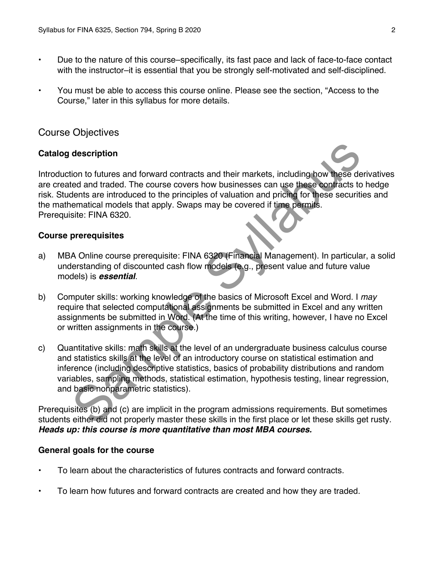- Due to the nature of this course–specifically, its fast pace and lack of face-to-face contact with the instructor–it is essential that you be strongly self-motivated and self-disciplined.
- You must be able to access this course online. Please see the section, "Access to the Course," later in this syllabus for more details.

# Course Objectives

#### **Catalog description**

Introduction to futures and forward contracts and their markets, including how these derivatives are created and traded. The course covers how businesses can use these contracts to hedge risk. Students are introduced to the principles of valuation and pricing for these securities and the mathematical models that apply. Swaps may be covered if time permits. Prerequisite: FINA 6320. description<br>
tion to futures and forward contracts and their markets, including how these deted and traded. The course covers how businesses can use these contracts to<br>
dents are introduced to the principles of valuation a

### **Course prerequisites**

- a) MBA Online course prerequisite: FINA 6320 (Financial Management). In particular, a solid understanding of discounted cash flow models (e.g., present value and future value models) is *essential*.
- b) Computer skills: working knowledge of the basics of Microsoft Excel and Word. I *may* require that selected computational assignments be submitted in Excel and any written assignments be submitted in Word. (At the time of this writing, however, I have no Excel or written assignments in the course.)
- c) Quantitative skills: math skills at the level of an undergraduate business calculus course and statistics skills at the level of an introductory course on statistical estimation and inference (including descriptive statistics, basics of probability distributions and random variables, sampling methods, statistical estimation, hypothesis testing, linear regression, and basic nonparametric statistics).

Prerequisites (b) and (c) are implicit in the program admissions requirements. But sometimes students either did not properly master these skills in the first place or let these skills get rusty. *Heads up: this course is more quantitative than most MBA courses.*

#### **General goals for the course**

- To learn about the characteristics of futures contracts and forward contracts.
- To learn how futures and forward contracts are created and how they are traded.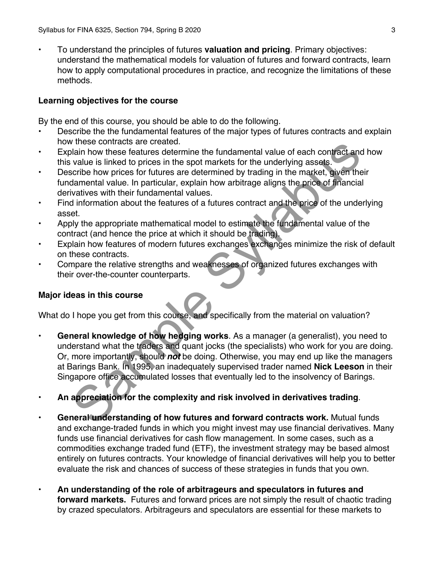• To understand the principles of futures **valuation and pricing**. Primary objectives: understand the mathematical models for valuation of futures and forward contracts, learn how to apply computational procedures in practice, and recognize the limitations of these methods.

### **Learning objectives for the course**

By the end of this course, you should be able to do the following.

- Describe the the fundamental features of the major types of futures contracts and explain how these contracts are created.
- Explain how these features determine the fundamental value of each contract and how this value is linked to prices in the spot markets for the underlying assets.
- Describe how prices for futures are determined by trading in the market, given their fundamental value. In particular, explain how arbitrage aligns the price of financial derivatives with their fundamental values.
- Find information about the features of a futures contract and the price of the underlying asset.
- Apply the appropriate mathematical model to estimate the fundamental value of the contract (and hence the price at which it should be trading).
- Explain how features of modern futures exchanges exchanges minimize the risk of default on these contracts.
- Compare the relative strengths and weaknesses of organized futures exchanges with their over-the-counter counterparts.

## **Major ideas in this course**

What do I hope you get from this course, and specifically from the material on valuation?

- **General knowledge of how hedging works**. As a manager (a generalist), you need to understand what the traders and quant jocks (the specialists) who work for you are doing. Or, more importantly, should *not* be doing. Otherwise, you may end up like the managers at Barings Bank. In 1995, an inadequately supervised trader named **Nick Leeson** in their Singapore office accumulated losses that eventually led to the insolvency of Barings. whose contracts are cleated.<br>
The metallical in the contract and clear the fundamental value of each contract and<br>
value is linked to prices in the spot markets for the underlying assets.<br>
Scribte how prices for futures ar
- **An appreciation for the complexity and risk involved in derivatives trading**.
- **General understanding of how futures and forward contracts work.** Mutual funds and exchange-traded funds in which you might invest may use financial derivatives. Many funds use financial derivatives for cash flow management. In some cases, such as a commodities exchange traded fund (ETF), the investment strategy may be based almost entirely on futures contracts. Your knowledge of financial derivatives will help you to better evaluate the risk and chances of success of these strategies in funds that you own.
- **An understanding of the role of arbitrageurs and speculators in futures and forward markets.** Futures and forward prices are not simply the result of chaotic trading by crazed speculators. Arbitrageurs and speculators are essential for these markets to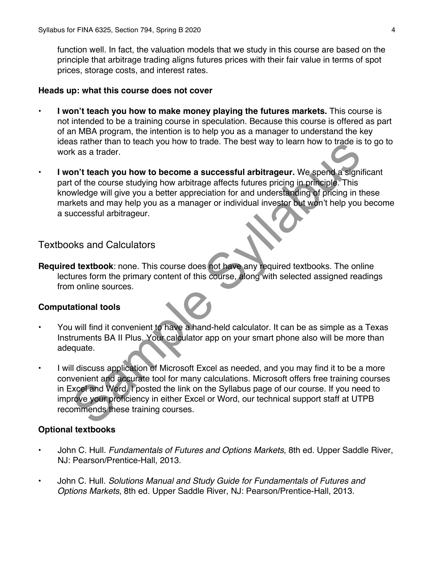function well. In fact, the valuation models that we study in this course are based on the principle that arbitrage trading aligns futures prices with their fair value in terms of spot prices, storage costs, and interest rates.

#### **Heads up: what this course does not cover**

- **I won't teach you how to make money playing the futures markets.** This course is not intended to be a training course in speculation. Because this course is offered as part of an MBA program, the intention is to help you as a manager to understand the key ideas rather than to teach you how to trade. The best way to learn how to trade is to go to work as a trader.
- **I won't teach you how to become a successful arbitrageur.** We spend a significant part of the course studying how arbitrage affects futures pricing in principle. This knowledge will give you a better appreciation for and understanding of pricing in these markets and may help you as a manager or individual investor but won't help you become a successful arbitrageur.

## Textbooks and Calculators

**Required textbook**: none. This course does not have any required textbooks. The online lectures form the primary content of this course, along with selected assigned readings from online sources.

#### **Computational tools**

- You will find it convenient to have a hand-held calculator. It can be as simple as a Texas Instruments BA II Plus. Your calculator app on your smart phone also will be more than adequate.
- I will discuss application of Microsoft Excel as needed, and you may find it to be a more convenient and accurate tool for many calculations. Microsoft offers free training courses in Excel and Word. I posted the link on the Syllabus page of our course. If you need to improve your proficiency in either Excel or Word, our technical support staff at UTPB recommends these training courses. As a tarter wind to teach you how to trade. The best way to elemn now to trade is<br>
As a state than to the course studying how arbitrage affects futures pricing in principle. This<br>
The course studying how arbitrage affects

#### **Optional textbooks**

- John C. Hull. *Fundamentals of Futures and Options Markets*, 8th ed. Upper Saddle River, NJ: Pearson/Prentice-Hall, 2013.
- John C. Hull. *Solutions Manual and Study Guide for Fundamentals of Futures and Options Markets*, 8th ed. Upper Saddle River, NJ: Pearson/Prentice-Hall, 2013.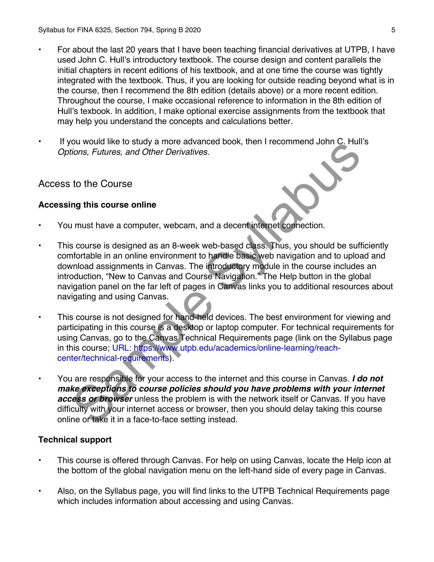- For about the last 20 years that I have been teaching financial derivatives at UTPB, I have used John C. Hull's introductory textbook. The course design and content parallels the initial chapters in recent editions of his textbook, and at one time the course was tightly integrated with the textbook. Thus, if you are looking for outside reading beyond what is in the course, then I recommend the 8th edition (details above) or a more recent edition. Throughout the course, I make occasional reference to information in the 8th edition of Hull's texbook. In addition, I make optional exercise assignments from the textbook that may help you understand the concepts and calculations better.
- If you would like to study a more advanced book, then I recommend John C. Hull's *Options, Futures, and Other Derivatives*.

## Access to the Course

### **Accessing this course online**

- You must have a computer, webcam, and a decent internet connection.
- This course is designed as an 8-week web-based class. Thus, you should be sufficiently comfortable in an online environment to handle basic web navigation and to upload and download assignments in Canvas. The introductory module in the course includes an introduction, "New to Canvas and Course Navigation." The Help button in the global navigation panel on the far left of pages in Canvas links you to additional resources about navigating and using Canvas. For the Course of the Course of the Course policies should be a reason of the Course of the Course of the Course of the Course of the Course of the Course of the Course is designed as an 8-week web-based class. Thus, you s
- This course is not designed for hand-held devices. The best environment for viewing and participating in this course is a desktop or laptop computer. For technical requirements for using Canvas, go to the Canvas Technical Requirements page (link on the Syllabus page in this course; URL: https://www.utpb.edu/academics/online-learning/reachcenter/technical-requirements).
- You are responsible for your access to the internet and this course in Canvas. *I do not make exceptions to course policies should you have problems with your internet access or browser* unless the problem is with the network itself or Canvas. If you have difficulty with your internet access or browser, then you should delay taking this course online or take it in a face-to-face setting instead.

#### **Technical support**

- This course is offered through Canvas. For help on using Canvas, locate the Help icon at the bottom of the global navigation menu on the left-hand side of every page in Canvas.
- Also, on the Syllabus page, you will find links to the UTPB Technical Requirements page which includes information about accessing and using Canvas.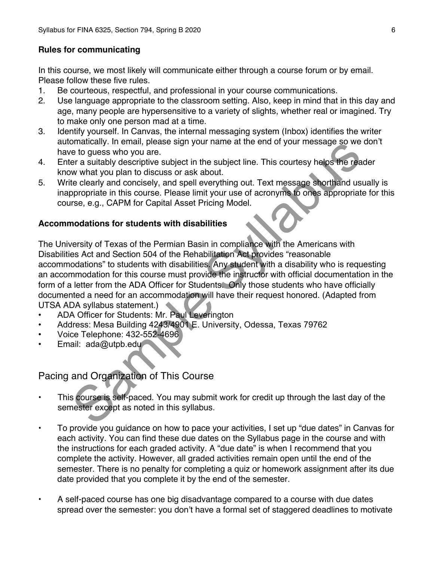### **Rules for communicating**

In this course, we most likely will communicate either through a course forum or by email. Please follow these five rules.

- 1. Be courteous, respectful, and professional in your course communications.
- 2. Use language appropriate to the classroom setting. Also, keep in mind that in this day and age, many people are hypersensitive to a variety of slights, whether real or imagined. Try to make only one person mad at a time.
- 3. Identify yourself. In Canvas, the internal messaging system (Inbox) identifies the writer automatically. In email, please sign your name at the end of your message so we don't have to guess who you are.
- 4. Enter a suitably descriptive subject in the subject line. This courtesy helps the reader know what you plan to discuss or ask about.
- 5. Write clearly and concisely, and spell everything out. Text message shorthand usually is inappropriate in this course. Please limit your use of acronyms to ones appropriate for this course, e.g., CAPM for Capital Asset Pricing Model.

### **Accommodations for students with disabilities**

The University of Texas of the Permian Basin in compliance with the Americans with Disabilities Act and Section 504 of the Rehabilitation Act provides "reasonable accommodations" to students with disabilities. Any student with a disability who is requesting an accommodation for this course must provide the instructor with official documentation in the form of a letter from the ADA Officer for Students. Only those students who have officially documented a need for an accommodation will have their request honored. (Adapted from UTSA ADA syllabus statement.) omatically. In leading please sign your name at the end of your message so we<br>be to guess who you are.<br>The cause who you are.<br>The area suitably descriptive subject in the subject line. This courtesy helps the real<br>are a su

- ADA Officer for Students: Mr. Paul Leverington
- Address: Mesa Building 4243/4901 E. University, Odessa, Texas 79762
- Voice Telephone: 432-552-4696
- Email: ada@utpb.edu

Pacing and Organization of This Course

- This course is self-paced. You may submit work for credit up through the last day of the semester except as noted in this syllabus.
- To provide you guidance on how to pace your activities, I set up "due dates" in Canvas for each activity. You can find these due dates on the Syllabus page in the course and with the instructions for each graded activity. A "due date" is when I recommend that you complete the activity. However, all graded activities remain open until the end of the semester. There is no penalty for completing a quiz or homework assignment after its due date provided that you complete it by the end of the semester.
- A self-paced course has one big disadvantage compared to a course with due dates spread over the semester: you don't have a formal set of staggered deadlines to motivate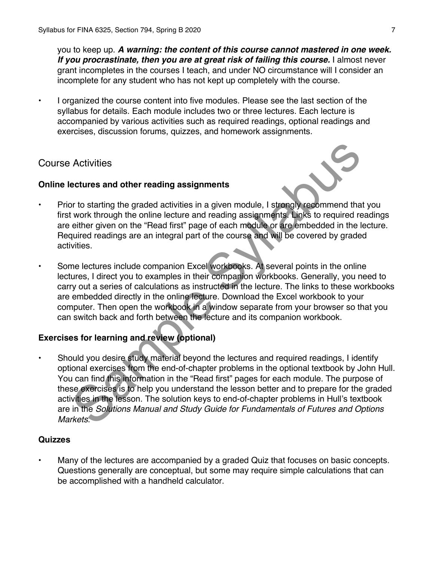you to keep up. *A warning: the content of this course cannot mastered in one week. If you procrastinate, then you are at great risk of failing this course.* I almost never grant incompletes in the courses I teach, and under NO circumstance will I consider an incomplete for any student who has not kept up completely with the course.

• I organized the course content into five modules. Please see the last section of the syllabus for details. Each module includes two or three lectures. Each lecture is accompanied by various activities such as required readings, optional readings and exercises, discussion forums, quizzes, and homework assignments.

# Course Activities

### **Online lectures and other reading assignments**

- Prior to starting the graded activities in a given module, I strongly recommend that you first work through the online lecture and reading assignments. Links to required readings are either given on the "Read first" page of each module or are embedded in the lecture. Required readings are an integral part of the course and will be covered by graded activities.
- Some lectures include companion Excel workbooks. At several points in the online lectures, I direct you to examples in their companion workbooks. Generally, you need to carry out a series of calculations as instructed in the lecture. The links to these workbooks are embedded directly in the online lecture. Download the Excel workbook to your computer. Then open the workbook in a window separate from your browser so that you can switch back and forth between the lecture and its companion workbook.

# **Exercises for learning and review (optional)**

Should you desire study material beyond the lectures and required readings, I identify optional exercises from the end-of-chapter problems in the optional textbook by John Hull. You can find this information in the "Read first" pages for each module. The purpose of these exercises is to help you understand the lesson better and to prepare for the graded activities in the lesson. The solution keys to end-of-chapter problems in Hull's textbook are in the *Solutions Manual and Study Guide for Fundamentals of Futures and Options Markets*. Activities<br>
activities<br>
activities and other reading assignments<br>
work through the online lecture and reading assignments<br>
work through the online lecture and reading assignments<br>
this view defined in the limit of the lect

#### **Quizzes**

Many of the lectures are accompanied by a graded Quiz that focuses on basic concepts. Questions generally are conceptual, but some may require simple calculations that can be accomplished with a handheld calculator.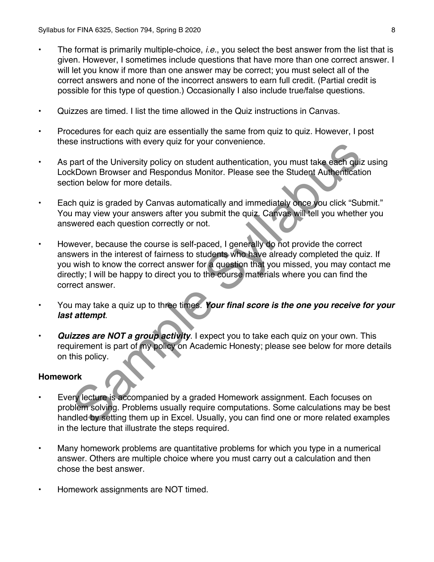- The format is primarily multiple-choice, *i.e.*, you select the best answer from the list that is given. However, I sometimes include questions that have more than one correct answer. I will let you know if more than one answer may be correct; you must select all of the correct answers and none of the incorrect answers to earn full credit. (Partial credit is possible for this type of question.) Occasionally I also include true/false questions.
- Quizzes are timed. I list the time allowed in the Quiz instructions in Canvas.
- Procedures for each quiz are essentially the same from quiz to quiz. However, I post these instructions with every quiz for your convenience.
- As part of the University policy on student authentication, you must take each quiz using LockDown Browser and Respondus Monitor. Please see the Student Authentication section below for more details.
- Each quiz is graded by Canvas automatically and immediately once you click "Submit." You may view your answers after you submit the quiz. Canvas will tell you whether you answered each question correctly or not.
- However, because the course is self-paced, I generally do not provide the correct answers in the interest of fairness to students who have already completed the quiz. If you wish to know the correct answer for a question that you missed, you may contact me directly; I will be happy to direct you to the course materials where you can find the correct answer. be instructions with every quiz tor your convenience.<br>
part of the University policy on student authentication, you must take each quis<br>
KDown Browser and Respondus Monitor. Please see the Student Authenticati<br>
the quiz is
- You may take a quiz up to three times. *Your final score is the one you receive for your last attempt*.
- **Quizzes are NOT a group activity**. I expect you to take each quiz on your own. This requirement is part of my policy on Academic Honesty; please see below for more details on this policy.

#### **Homework**

- Every lecture is accompanied by a graded Homework assignment. Each focuses on problem solving. Problems usually require computations. Some calculations may be best handled by setting them up in Excel. Usually, you can find one or more related examples in the lecture that illustrate the steps required.
- Many homework problems are quantitative problems for which you type in a numerical answer. Others are multiple choice where you must carry out a calculation and then chose the best answer.
- Homework assignments are NOT timed.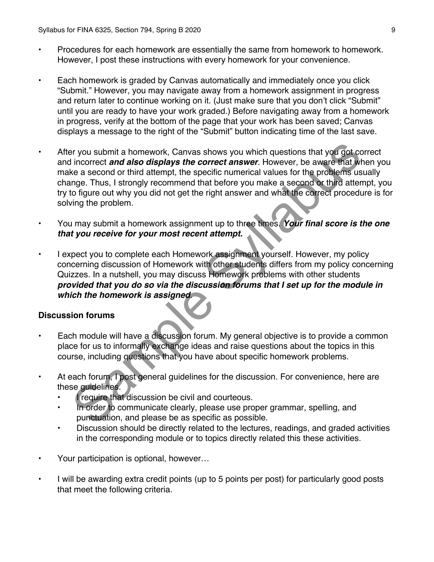- Procedures for each homework are essentially the same from homework to homework. However, I post these instructions with every homework for your convenience.
- Each homework is graded by Canvas automatically and immediately once you click "Submit." However, you may navigate away from a homework assignment in progress and return later to continue working on it. (Just make sure that you don't click "Submit" until you are ready to have your work graded.) Before navigating away from a homework in progress, verify at the bottom of the page that your work has been saved; Canvas displays a message to the right of the "Submit" button indicating time of the last save.
- After you submit a homework, Canvas shows you which questions that you got correct and incorrect *and also displays the correct answer*. However, be aware that when you make a second or third attempt, the specific numerical values for the problems usually change. Thus, I strongly recommend that before you make a second or third attempt, you try to figure out why you did not get the right answer and what the correct procedure is for solving the problem. by the moment and a homework, Canvas shows you which questions that you got concepted incorrect **and also displays the correct answer**. However, be aware that will a signal in correct answer. However, be aware that will al
- You may submit a homework assignment up to three times. *Your final score is the one that you receive for your most recent attempt.*
- I expect you to complete each Homework assignment yourself. However, my policy concerning discussion of Homework with other students differs from my policy concerning Quizzes. In a nutshell, you may discuss Homework problems with other students *provided that you do so via the discussion forums that I set up for the module in which the homework is assigned*.

#### **Discussion forums**

- Each module will have a discussion forum. My general objective is to provide a common place for us to informally exchange ideas and raise questions about the topics in this course, including questions that you have about specific homework problems.
- At each forum, I post general guidelines for the discussion. For convenience, here are these guidelines.
	- I require that discussion be civil and courteous.
	- In order to communicate clearly, please use proper grammar, spelling, and punctuation, and please be as specific as possible.
	- Discussion should be directly related to the lectures, readings, and graded activities in the corresponding module or to topics directly related this these activities.
- Your participation is optional, however…
- I will be awarding extra credit points (up to 5 points per post) for particularly good posts that meet the following criteria.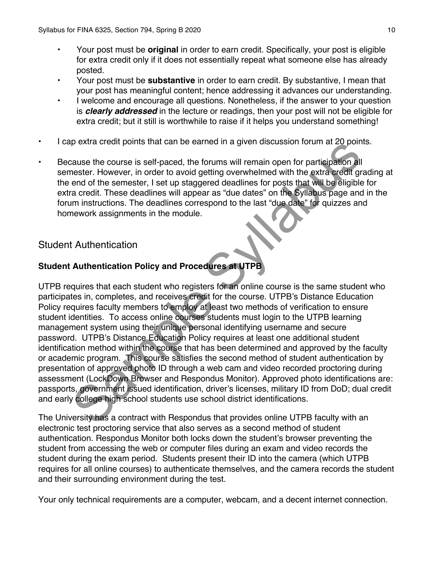- Your post must be **original** in order to earn credit. Specifically, your post is eligible for extra credit only if it does not essentially repeat what someone else has already posted.
- Your post must be **substantive** in order to earn credit. By substantive, I mean that your post has meaningful content; hence addressing it advances our understanding.
- I welcome and encourage all questions. Nonetheless, if the answer to your question is *clearly addressed* in the lecture or readings, then your post will not be eligible for extra credit; but it still is worthwhile to raise if it helps you understand something!
- I cap extra credit points that can be earned in a given discussion forum at 20 points.
- Because the course is self-paced, the forums will remain open for participation all semester. However, in order to avoid getting overwhelmed with the extra credit grading at the end of the semester, I set up staggered deadlines for posts that will be eligible for extra credit. These deadlines will appear as "due dates" on the Syllabus page and in the forum instructions. The deadlines correspond to the last "due date" for quizzes and homework assignments in the module.

# Student Authentication

# **Student Authentication Policy and Procedures at UTPB**

UTPB requires that each student who registers for an online course is the same student who participates in, completes, and receives credit for the course. UTPB's Distance Education Policy requires faculty members to employ at least two methods of verification to ensure student identities. To access online courses students must login to the UTPB learning management system using their unique personal identifying username and secure password. UTPB's Distance Education Policy requires at least one additional student identification method within the course that has been determined and approved by the faculty or academic program. This course satisfies the second method of student authentication by presentation of approved photo ID through a web cam and video recorded proctoring during assessment (LockDown Browser and Respondus Monitor). Approved photo identifications are: passports, government issued identification, driver's licenses, military ID from DoD; dual credit and early college high school students use school district identifications. b extra credit points triat can be earlied in a given discussion fortun at zo point<br>actuals the course is self-paced, the forums will remain open for participation all<br>nearly However, in order to avoid getting overwhelmed

The University has a contract with Respondus that provides online UTPB faculty with an electronic test proctoring service that also serves as a second method of student authentication. Respondus Monitor both locks down the student's browser preventing the student from accessing the web or computer files during an exam and video records the student during the exam period. Students present their ID into the camera (which UTPB requires for all online courses) to authenticate themselves, and the camera records the student and their surrounding environment during the test.

Your only technical requirements are a computer, webcam, and a decent internet connection.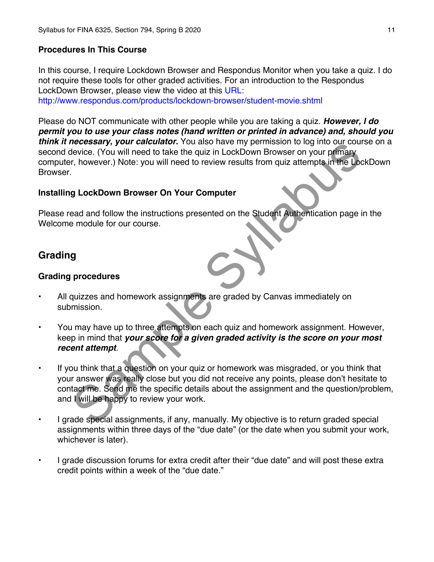## **Procedures In This Course**

In this course, I require Lockdown Browser and Respondus Monitor when you take a quiz. I do not require these tools for other graded activities. For an introduction to the Respondus LockDown Browser, please view the video at this URL: http://www.respondus.com/products/lockdown-browser/student-movie.shtml

Please do NOT communicate with other people while you are taking a quiz. *However, I do permit you to use your class notes (hand written or printed in advance) and, should you think it necessary, your calculator.* You also have my permission to log into our course on a second device. (You will need to take the quiz in LockDown Browser on your primary computer, however.) Note: you will need to review results from quiz attempts in the LockDown Browser.

### **Installing LockDown Browser On Your Computer**

Please read and follow the instructions presented on the Student Authentication page in the Welcome module for our course.

# **Grading**

#### **Grading procedures**

- All quizzes and homework assignments are graded by Canvas immediately on submission.
- You may have up to three attempts on each quiz and homework assignment. However, keep in mind that *your score for a given graded activity is the score on your most recent attempt*.
- If you think that a question on your quiz or homework was misgraded, or you think that your answer was really close but you did not receive any points, please don't hesitate to contact me. Send me the specific details about the assignment and the question/problem, and I will be happy to review your work. meter and the specific distance in the anti-<br>there is a convert to the solution of course in the specific of the syle<br>in the sylve sylvan method of the field in LockDown Browser on your primary<br>r, however.) Note: you will
- I grade special assignments, if any, manually. My objective is to return graded special assignments within three days of the "due date" (or the date when you submit your work, whichever is later).
- I grade discussion forums for extra credit after their "due date" and will post these extra credit points within a week of the "due date."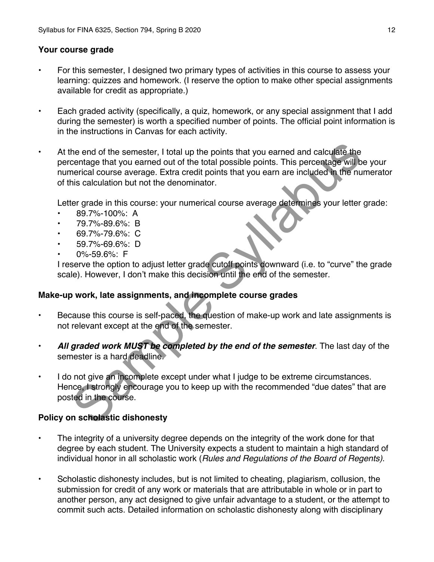#### **Your course grade**

- For this semester, I designed two primary types of activities in this course to assess your learning: quizzes and homework. (I reserve the option to make other special assignments available for credit as appropriate.)
- Each graded activity (specifically, a quiz, homework, or any special assignment that I add during the semester) is worth a specified number of points. The official point information is in the instructions in Canvas for each activity.
- At the end of the semester, I total up the points that you earned and calculate the percentage that you earned out of the total possible points. This percentage will be your numerical course average. Extra credit points that you earn are included in the numerator of this calculation but not the denominator. the end of the semester, I total up the points that you earned and calculate the<br>centage that you earned out of the total possible points. This percentage will be<br>nerical course average. Extra credit points that you earn a

Letter grade in this course: your numerical course average determines your letter grade:

- 89.7%-100%: A
- 79.7%-89.6%: B
- 69.7%-79.6%: C
- 59.7%-69.6%: D
- 0%-59.6%: F

I reserve the option to adjust letter grade cutoff points downward (i.e. to "curve" the grade scale). However, I don't make this decision until the end of the semester.

#### **Make-up work, late assignments, and incomplete course grades**

- Because this course is self-paced, the question of make-up work and late assignments is not relevant except at the end of the semester.
- *All graded work MUST be completed by the end of the semester*. The last day of the semester is a hard deadline.
- I do not give an incomplete except under what I judge to be extreme circumstances. Hence, I strongly encourage you to keep up with the recommended "due dates" that are posted in the course.

## **Policy on scholastic dishonesty**

- The integrity of a university degree depends on the integrity of the work done for that degree by each student. The University expects a student to maintain a high standard of individual honor in all scholastic work (*Rules and Regulations of the Board of Regents)*.
- Scholastic dishonesty includes, but is not limited to cheating, plagiarism, collusion, the submission for credit of any work or materials that are attributable in whole or in part to another person, any act designed to give unfair advantage to a student, or the attempt to commit such acts. Detailed information on scholastic dishonesty along with disciplinary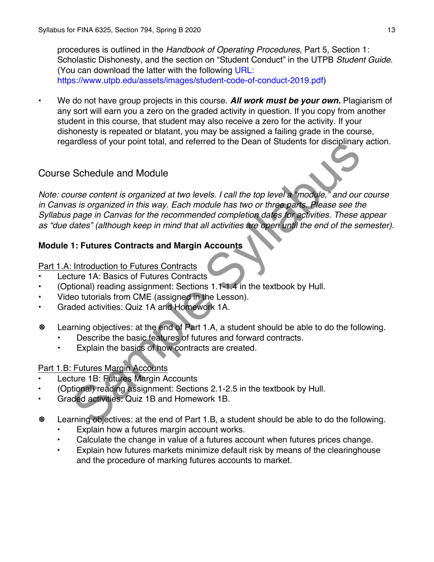procedures is outlined in the *Handbook of Operating Procedures*, Part 5, Section 1: Scholastic Dishonesty, and the section on "Student Conduct" in the UTPB *Student Guide*. (You can download the latter with the following URL: https://www.utpb.edu/assets/images/student-code-of-conduct-2019.pdf)

• We do not have group projects in this course. *All work must be your own.* Plagiarism of any sort will earn you a zero on the graded activity in question. If you copy from another student in this course, that student may also receive a zero for the activity. If your dishonesty is repeated or blatant, you may be assigned a failing grade in the course, regardless of your point total, and referred to the Dean of Students for disciplinary action.

# Course Schedule and Module

*Note: course content is organized at two levels. I call the top level a "module," and our course in Canvas is organized in this way. Each module has two or three parts. Please see the Syllabus page in Canvas for the recommended completion dates for activities. These appear as "due dates" (although keep in mind that all activities are open until the end of the semester).* artiess of your point total, and telefred to the beam of studients tot disciplinary<br>
Schedule and Module<br>
urse content is organized at two levels. I call the top level a "module," and our<br>
is is organized in this way. Each

# **Module 1: Futures Contracts and Margin Accounts**

### Part 1.A: Introduction to Futures Contracts

- Lecture 1A: Basics of Futures Contracts
- (Optional) reading assignment: Sections 1.1-1.4 in the textbook by Hull.
- Video tutorials from CME (assigned in the Lesson).
- Graded activities: Quiz 1A and Homework 1A.
- **\earning objectives: at the end of Part 1.A, a student should be able to do the following.** 
	- Describe the basic features of futures and forward contracts.
	- Explain the basics of how contracts are created.

## Part 1.B: Futures Margin Accounts

- Lecture 1B: Futures Margin Accounts
- (Optional) reading assignment: Sections 2.1-2.5 in the textbook by Hull.
- Graded activities: Quiz 1B and Homework 1B.
- ! Learning objectives: at the end of Part 1.B, a student should be able to do the following.
	- Explain how a futures margin account works.
	- Calculate the change in value of a futures account when futures prices change.
	- Explain how futures markets minimize default risk by means of the clearinghouse and the procedure of marking futures accounts to market.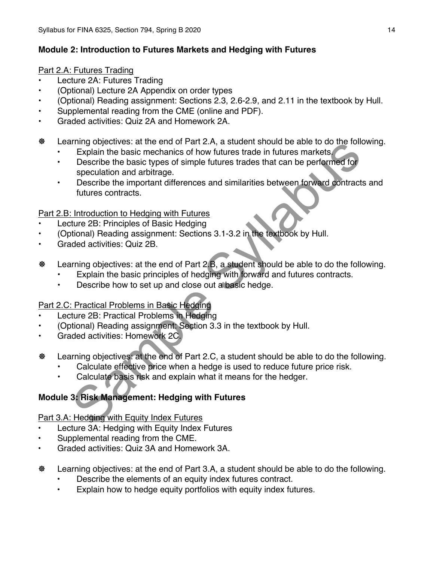## **Module 2: Introduction to Futures Markets and Hedging with Futures**

## Part 2.A: Futures Trading

- Lecture 2A: Futures Trading
- (Optional) Lecture 2A Appendix on order types
- (Optional) Reading assignment: Sections 2.3, 2.6-2.9, and 2.11 in the textbook by Hull.
- Supplemental reading from the CME (online and PDF).
- Graded activities: Quiz 2A and Homework 2A.
- ! Learning objectives: at the end of Part 2.A, a student should be able to do the following.
	- Explain the basic mechanics of how futures trade in futures markets.
	- Describe the basic types of simple futures trades that can be performed for speculation and arbitrage.
	- Describe the important differences and similarities between forward contracts and futures contracts. The Explain the basic metric A, a student since the duce the duce the duce the properties. At the end of Part 2.A, a student shoped that the duce the contract purchase of simple futures mately people the basic types of sim

# Part 2.B: Introduction to Hedging with Futures

- Lecture 2B: Principles of Basic Hedging
- (Optional) Reading assignment: Sections 3.1-3.2 in the textbook by Hull.
- Graded activities: Quiz 2B.
- **\earning objectives: at the end of Part 2.B, a student should be able to do the following.** 
	- Explain the basic principles of hedging with forward and futures contracts.
	- Describe how to set up and close out a basic hedge.

# Part 2.C: Practical Problems in Basic Hedging

- Lecture 2B: Practical Problems in Hedging
- (Optional) Reading assignment: Section 3.3 in the textbook by Hull.
- Graded activities: Homework 2C.
- **\earning objectives: at the end of Part 2.C, a student should be able to do the following.** 
	- Calculate effective price when a hedge is used to reduce future price risk.
	- Calculate basis risk and explain what it means for the hedger.

# **Module 3: Risk Management: Hedging with Futures**

## Part 3.A: Hedging with Equity Index Futures

- Lecture 3A: Hedging with Equity Index Futures
- Supplemental reading from the CME.
- Graded activities: Quiz 3A and Homework 3A.
- ! Learning objectives: at the end of Part 3.A, a student should be able to do the following.
	- Describe the elements of an equity index futures contract.
	- Explain how to hedge equity portfolios with equity index futures.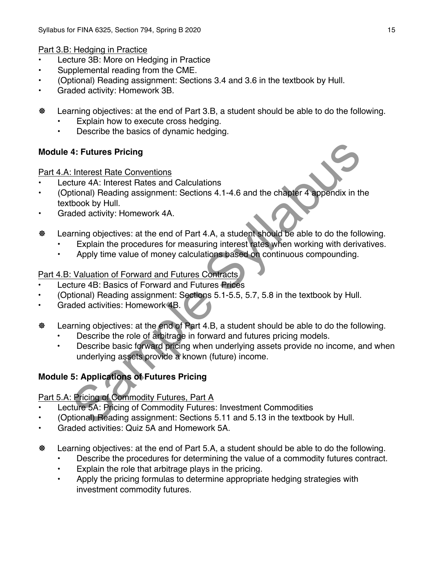Part 3.B: Hedging in Practice

- Lecture 3B: More on Hedging in Practice
- Supplemental reading from the CME.
- (Optional) Reading assignment: Sections 3.4 and 3.6 in the textbook by Hull.
- Graded activity: Homework 3B.
- ! Learning objectives: at the end of Part 3.B, a student should be able to do the following.
	- Explain how to execute cross hedging.
	- Describe the basics of dynamic hedging.

## **Module 4: Futures Pricing**

Part 4.A: Interest Rate Conventions

- Lecture 4A: Interest Rates and Calculations
- (Optional) Reading assignment: Sections 4.1-4.6 and the chapter 4 appendix in the textbook by Hull. 4: Futures Pricing<br>
1. Interest Rate Conventions<br>
titure 4A: Interest Rates and Calculations<br>
titure 4A: Interest Rates and Calculations<br>
titure 4A: Interest Rates and Calculations<br>
titure 4A: Interest Rates and of Part 4.
- Graded activity: Homework 4A.
- **\@** Learning objectives: at the end of Part 4.A, a student should be able to do the following.
	- Explain the procedures for measuring interest rates when working with derivatives.
	- Apply time value of money calculations based on continuous compounding.

## Part 4.B: Valuation of Forward and Futures Contracts

- Lecture 4B: Basics of Forward and Futures Prices
- (Optional) Reading assignment: Sections 5.1-5.5, 5.7, 5.8 in the textbook by Hull.
- Graded activities: Homework 4B.
- **\earning objectives: at the end of Part 4.B, a student should be able to do the following.** 
	- Describe the role of arbitrage in forward and futures pricing models.
	- Describe basic forward pricing when underlying assets provide no income, and when underlying assets provide a known (future) income.

# **Module 5: Applications of Futures Pricing**

# Part 5.A: Pricing of Commodity Futures, Part A

- Lecture 5A: Pricing of Commodity Futures: Investment Commodities
- (Optional) Reading assignment: Sections 5.11 and 5.13 in the textbook by Hull.
- Graded activities: Quiz 5A and Homework 5A.
- ! Learning objectives: at the end of Part 5.A, a student should be able to do the following.
	- Describe the procedures for determining the value of a commodity futures contract.
	- Explain the role that arbitrage plays in the pricing.
	- Apply the pricing formulas to determine appropriate hedging strategies with investment commodity futures.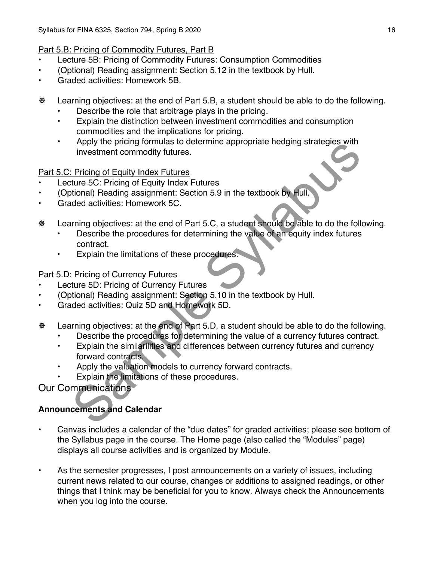# Part 5.B: Pricing of Commodity Futures, Part B

- Lecture 5B: Pricing of Commodity Futures: Consumption Commodities
- (Optional) Reading assignment: Section 5.12 in the textbook by Hull.
- Graded activities: Homework 5B.
- ! Learning objectives: at the end of Part 5.B, a student should be able to do the following.
	- Describe the role that arbitrage plays in the pricing.
	- Explain the distinction between investment commodities and consumption commodities and the implications for pricing.
	- Apply the pricing formulas to determine appropriate hedging strategies with investment commodity futures.

Part 5.C: Pricing of Equity Index Futures

- Lecture 5C: Pricing of Equity Index Futures
- (Optional) Reading assignment: Section 5.9 in the textbook by Hull.
- Graded activities: Homework 5C.
- **\earning objectives: at the end of Part 5.C, a student should be able to do the following.** 
	- Describe the procedures for determining the value of an equity index futures contract.
	- Explain the limitations of these procedures.

Part 5.D: Pricing of Currency Futures

- Lecture 5D: Pricing of Currency Futures
- (Optional) Reading assignment: Section 5.10 in the textbook by Hull.
- Graded activities: Quiz 5D and Homework 5D.
- **\earning objectives: at the end of Part 5.D, a student should be able to do the following.** 
	- Describe the procedures for determining the value of a currency futures contract.
- Explain the similarilities and differences between currency futures and currency forward contracts. Apply the phrang tomulas to determine appropriate nedging strategies with<br>
investment commodity futures<br>
Exception of Equity Index Futures<br>
Extreme 5C: Pricing of Equity Index Futures<br>
true 5C: Pricing of Equity Index Futu
	- Apply the valuation models to currency forward contracts.
	- Explain the limitations of these procedures.

Our Communications<sup>\*</sup>

# **Announcements and Calendar**

- Canvas includes a calendar of the "due dates" for graded activities; please see bottom of the Syllabus page in the course. The Home page (also called the "Modules" page) displays all course activities and is organized by Module.
- As the semester progresses, I post announcements on a variety of issues, including current news related to our course, changes or additions to assigned readings, or other things that I think may be beneficial for you to know. Always check the Announcements when you log into the course.